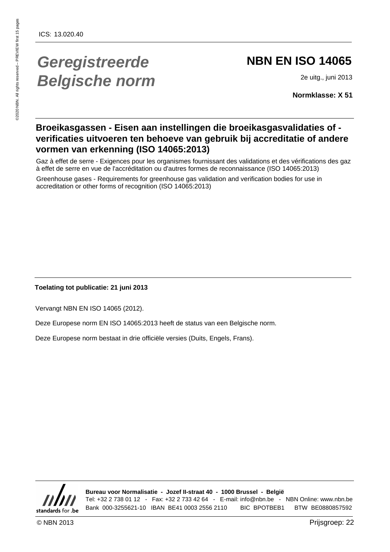## **Geregistreerde Belgische norm**

#### **NBN EN ISO 14065**

2e uitg., juni 2013

**Normklasse: X 51**

#### **Broeikasgassen - Eisen aan instellingen die broeikasgasvalidaties of verificaties uitvoeren ten behoeve van gebruik bij accreditatie of andere vormen van erkenning (ISO 14065:2013)**

Gaz à effet de serre - Exigences pour les organismes fournissant des validations et des vérifications des gaz à effet de serre en vue de l'accréditation ou d'autres formes de reconnaissance (ISO 14065:2013)

Greenhouse gases - Requirements for greenhouse gas validation and verification bodies for use in accreditation or other forms of recognition (ISO 14065:2013)

#### **Toelating tot publicatie: 21 juni 2013**

Vervangt NBN EN ISO 14065 (2012).

Deze Europese norm EN ISO 14065:2013 heeft de status van een Belgische norm.

Deze Europese norm bestaat in drie officiële versies (Duits, Engels, Frans).



**Bureau voor Normalisatie - Jozef II-straat 40 - 1000 Brussel - België** Tel: +32 2 738 01 12 - Fax: +32 2 733 42 64 - E-mail: info@nbn.be - NBN Online: www.nbn.be Bank 000-3255621-10 IBAN BE41 0003 2556 2110 BIC BPOTBEB1 BTW BE0880857592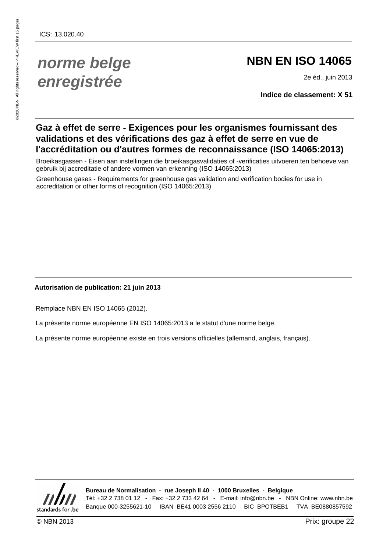### **norme belge enregistrée**

#### **NBN EN ISO 14065**

2e éd., juin 2013

**Indice de classement: X 51**

#### **Gaz à effet de serre - Exigences pour les organismes fournissant des validations et des vérifications des gaz à effet de serre en vue de l'accréditation ou d'autres formes de reconnaissance (ISO 14065:2013)**

Broeikasgassen - Eisen aan instellingen die broeikasgasvalidaties of -verificaties uitvoeren ten behoeve van gebruik bij accreditatie of andere vormen van erkenning (ISO 14065:2013)

Greenhouse gases - Requirements for greenhouse gas validation and verification bodies for use in accreditation or other forms of recognition (ISO 14065:2013)

#### **Autorisation de publication: 21 juin 2013**

Remplace NBN EN ISO 14065 (2012).

La présente norme européenne EN ISO 14065:2013 a le statut d'une norme belge.

La présente norme européenne existe en trois versions officielles (allemand, anglais, français).



**Bureau de Normalisation - rue Joseph II 40 - 1000 Bruxelles - Belgique** Tél: +32 2 738 01 12 - Fax: +32 2 733 42 64 - E-mail: info@nbn.be - NBN Online: www.nbn.be Banque 000-3255621-10 IBAN BE41 0003 2556 2110 BIC BPOTBEB1 TVA BE0880857592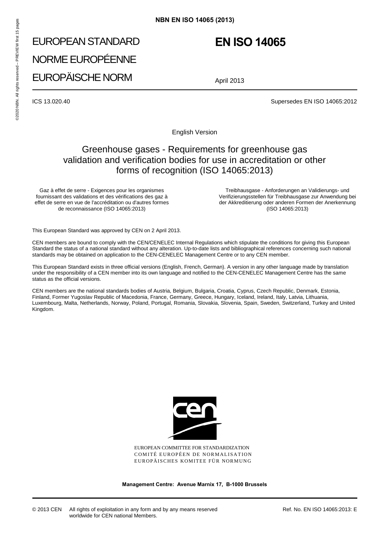# EUROPEAN STANDARD NORME EUROPÉENNE EUROPÄISCHE NORM **NBN EN ISO 14065 (2013)**<br>
FUROPEAN STANDARD<br>
NORME EUROPÉENNE<br>
EUROPÄISCHE NORM<br>
April 2<br>
ICS 13.020.40<br> **ESPERENTE FORM**<br>
April 2<br> **ESPERENTE RORM**

#### **EN ISO 14065**

April 2013

ICS 13.020.40 Supersedes EN ISO 14065:2012

English Version

#### Greenhouse gases - Requirements for greenhouse gas validation and verification bodies for use in accreditation or other forms of recognition (ISO 14065:2013)

Gaz à effet de serre - Exigences pour les organismes fournissant des validations et des vérifications des gaz à effet de serre en vue de l'accréditation ou d'autres formes de reconnaissance (ISO 14065:2013)

Treibhausgase - Anforderungen an Validierungs- und Verifizierungsstellen für Treibhausgase zur Anwendung bei der Akkreditierung oder anderen Formen der Anerkennung (ISO 14065:2013)

This European Standard was approved by CEN on 2 April 2013.

CEN members are bound to comply with the CEN/CENELEC Internal Regulations which stipulate the conditions for giving this European Standard the status of a national standard without any alteration. Up-to-date lists and bibliographical references concerning such national standards may be obtained on application to the CEN-CENELEC Management Centre or to any CEN member.

This European Standard exists in three official versions (English, French, German). A version in any other language made by translation under the responsibility of a CEN member into its own language and notified to the CEN-CENELEC Management Centre has the same status as the official versions.

CEN members are the national standards bodies of Austria, Belgium, Bulgaria, Croatia, Cyprus, Czech Republic, Denmark, Estonia, Finland, Former Yugoslav Republic of Macedonia, France, Germany, Greece, Hungary, Iceland, Ireland, Italy, Latvia, Lithuania, Luxembourg, Malta, Netherlands, Norway, Poland, Portugal, Romania, Slovakia, Slovenia, Spain, Sweden, Switzerland, Turkey and United Kingdom.



EUROPEAN COMMITTEE FOR STANDARDIZATION COMITÉ EUROPÉEN DE NORMALISATION EUROPÄISCHES KOMITEE FÜR NORMUNG

**Management Centre: Avenue Marnix 17, B-1000 Brussels**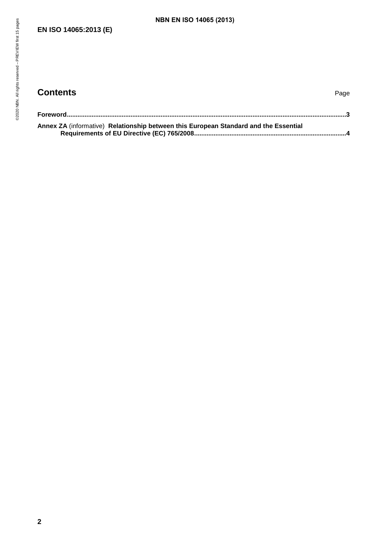#### **EN ISO 14065:2013 (E)**

#### **Contents** Page

| <b>NBN EN ISO 14065 (2013)</b> |                                                                                      |
|--------------------------------|--------------------------------------------------------------------------------------|
|                                |                                                                                      |
|                                |                                                                                      |
|                                |                                                                                      |
|                                |                                                                                      |
|                                |                                                                                      |
|                                |                                                                                      |
|                                |                                                                                      |
|                                | Page                                                                                 |
|                                |                                                                                      |
|                                |                                                                                      |
|                                |                                                                                      |
|                                |                                                                                      |
|                                | Annex ZA (informative) Relationship between this European Standard and the Essential |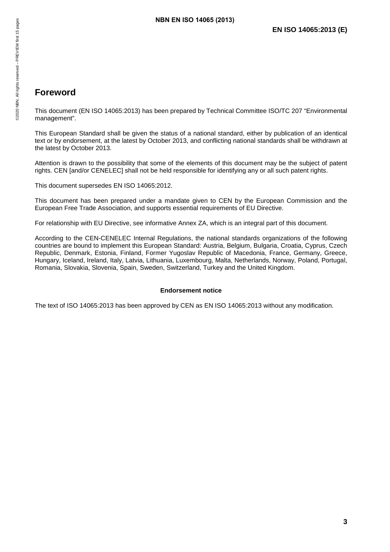#### <span id="page-4-0"></span>**Foreword**

This document (EN ISO 14065:2013) has been prepared by Technical Committee ISO/TC 207 "Environmental management". **NBN EN ISO 14065 (2013)**<br>
All rights reserved<br>
We all rights reserved<br>
We all rights document (EN ISO 14065:2013) has been prepared by Technical<br>
management".

This European Standard shall be given the status of a national standard, either by publication of an identical text or by endorsement, at the latest by October 2013, and conflicting national standards shall be withdrawn at the latest by October 2013.

Attention is drawn to the possibility that some of the elements of this document may be the subject of patent rights. CEN [and/or CENELEC] shall not be held responsible for identifying any or all such patent rights.

This document supersedes EN ISO 14065:2012.

This document has been prepared under a mandate given to CEN by the European Commission and the European Free Trade Association, and supports essential requirements of EU Directive.

For relationship with EU Directive, see informative Annex ZA, which is an integral part of this document.

According to the CEN-CENELEC Internal Regulations, the national standards organizations of the following countries are bound to implement this European Standard: Austria, Belgium, Bulgaria, Croatia, Cyprus, Czech Republic, Denmark, Estonia, Finland, Former Yugoslav Republic of Macedonia, France, Germany, Greece, Hungary, Iceland, Ireland, Italy, Latvia, Lithuania, Luxembourg, Malta, Netherlands, Norway, Poland, Portugal, Romania, Slovakia, Slovenia, Spain, Sweden, Switzerland, Turkey and the United Kingdom.

#### **Endorsement notice**

The text of ISO 14065:2013 has been approved by CEN as EN ISO 14065:2013 without any modification.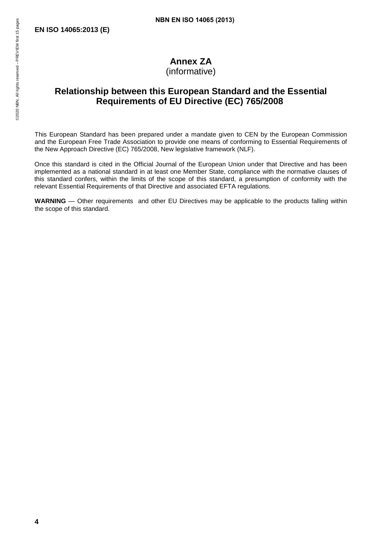#### **Annex ZA**

(informative)

# <span id="page-5-0"></span>**Relationship between this European Standard and the Essential Requirements of EU Directive (EC) 765/2008 NBN EN ISO 14065 (2013)<br>
EN ISO 14065:2013 (E)<br>
Property of the Mateum of Annex ZA<br>
(informative)<br>
Relationship between this European Stand<br>
Requirements of EU Directive (E**

This European Standard has been prepared under a mandate given to CEN by the European Commission and the European Free Trade Association to provide one means of conforming to Essential Requirements of the New Approach Directive (EC) 765/2008, New legislative framework (NLF).

Once this standard is cited in the Official Journal of the European Union under that Directive and has been implemented as a national standard in at least one Member State, compliance with the normative clauses of this standard confers, within the limits of the scope of this standard, a presumption of conformity with the relevant Essential Requirements of that Directive and associated EFTA regulations.

**WARNING** — Other requirements and other EU Directives may be applicable to the products falling within the scope of this standard.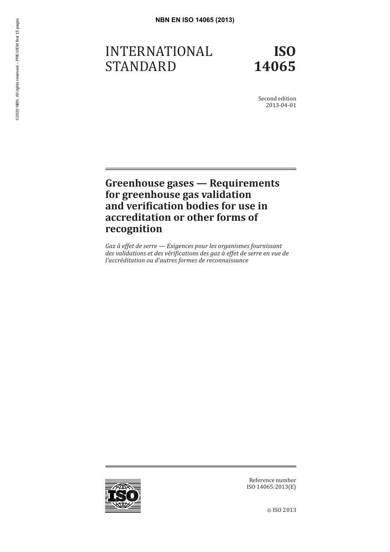# INTERNATIONAL STANDARD **NBN EN ISO 14065 (2013)**<br> *NBN EN ISO 14065 (2013)*<br> *En En ISO 14065 (2013)*<br>
STANDARD<br>
STANDARD

**ISO 14065**

Second edition 2013-04-01

#### **Greenhouse gases — Requirements for greenhouse gas validation and verification bodies for use in accreditation or other forms of recognition**

*Gaz à effet de serre — Exigences pour les organismes fournissant des validations et des vérifications des gaz à effet de serre en vue de l'accréditation ou d'autres formes de reconnaissance*



Reference number ISO 14065:2013(E)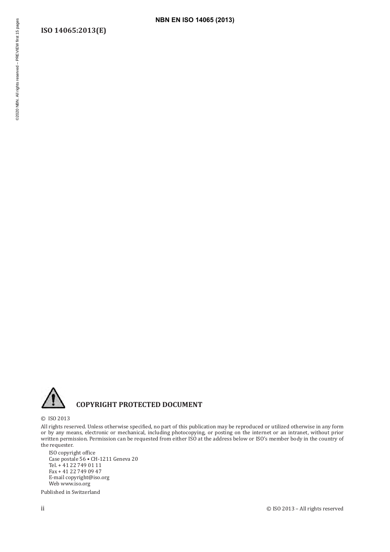# **ISO 14065:2013(E) NBN EN ISO 14065 (2013)**<br> **NBN EN ISO 14065 (2013)**<br>
<u>ENERGINENCE</u><br>
PREVIEW FIRST 15 pages<br>
PREVIEW first 15 pages<br>
PREVIEW first 15 pages<br>
PREVIEW first 15 pages<br>
PREVIEW first 15 pages in the served of the served of the



#### **COPYRIGHT PROTECTED DOCUMENT**

© ISO 2013

All rights reserved. Unless otherwise specified, no part of this publication may be reproduced or utilized otherwise in any form or by any means, electronic or mechanical, including photocopying, or posting on the internet or an intranet, without prior written permission. Permission can be requested from either ISO at the address below or ISO's member body in the country of the requester.

ISO copyright office Case postale 56 • CH-1211 Geneva 20 Tel. + 41 22 749 01 11 Fax + 41 22 749 09 47 E-mail copyright@iso.org Web www.iso.org

Published in Switzerland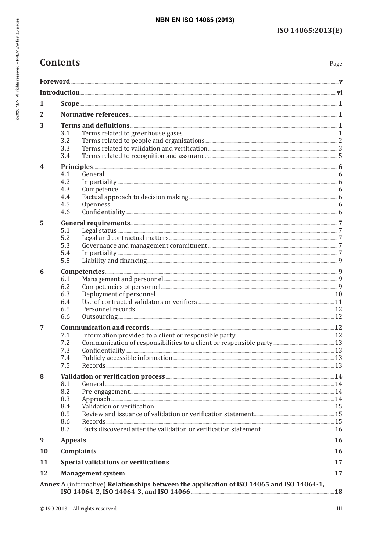#### **NBN EN ISO 14065 (2013)**

#### **Contents**

| 1  |                                                                                                                                                                                                                                |  |
|----|--------------------------------------------------------------------------------------------------------------------------------------------------------------------------------------------------------------------------------|--|
| 2  |                                                                                                                                                                                                                                |  |
| 3  |                                                                                                                                                                                                                                |  |
|    | 3.1                                                                                                                                                                                                                            |  |
|    | 3.2                                                                                                                                                                                                                            |  |
|    | 3.3                                                                                                                                                                                                                            |  |
|    | 3.4                                                                                                                                                                                                                            |  |
| 4  |                                                                                                                                                                                                                                |  |
|    | 4.1                                                                                                                                                                                                                            |  |
|    | 4.2                                                                                                                                                                                                                            |  |
|    | 4.3                                                                                                                                                                                                                            |  |
|    | 4.4                                                                                                                                                                                                                            |  |
|    | 4.5<br>4.6                                                                                                                                                                                                                     |  |
|    |                                                                                                                                                                                                                                |  |
| 5  |                                                                                                                                                                                                                                |  |
|    | 5.1<br>5.2                                                                                                                                                                                                                     |  |
|    | 5.3                                                                                                                                                                                                                            |  |
|    | 5.4                                                                                                                                                                                                                            |  |
|    | 5.5                                                                                                                                                                                                                            |  |
| 6  |                                                                                                                                                                                                                                |  |
|    | 6.1                                                                                                                                                                                                                            |  |
|    | 6.2                                                                                                                                                                                                                            |  |
|    | Deployment of personnel <b>Executive Contact 20</b><br>6.3                                                                                                                                                                     |  |
|    | 6.4                                                                                                                                                                                                                            |  |
|    | 6.5                                                                                                                                                                                                                            |  |
|    | 6.6<br>Outsourcing 12                                                                                                                                                                                                          |  |
| 7  |                                                                                                                                                                                                                                |  |
|    | 7.1                                                                                                                                                                                                                            |  |
|    | 7.2                                                                                                                                                                                                                            |  |
|    | 7.3<br>7.4                                                                                                                                                                                                                     |  |
|    | 7.5                                                                                                                                                                                                                            |  |
|    |                                                                                                                                                                                                                                |  |
| 8  | 8.1                                                                                                                                                                                                                            |  |
|    | 8.2                                                                                                                                                                                                                            |  |
|    | 8.3                                                                                                                                                                                                                            |  |
|    | 8.4                                                                                                                                                                                                                            |  |
|    | 8.5                                                                                                                                                                                                                            |  |
|    | 8.6                                                                                                                                                                                                                            |  |
|    | 8.7                                                                                                                                                                                                                            |  |
| 9  |                                                                                                                                                                                                                                |  |
| 10 | Complaints 26 and 26 and 26 and 26 and 26 and 26 and 26 and 26 and 26 and 26 and 26 and 26 and 26 and 26 and 26 and 26 and 26 and 26 and 26 and 26 and 26 and 26 and 26 and 26 and 26 and 26 and 26 and 26 and 26 and 26 and 2 |  |
| 11 |                                                                                                                                                                                                                                |  |
| 12 |                                                                                                                                                                                                                                |  |
|    | Annex A (informative) Relationships between the application of ISO 14065 and ISO 14064-1,                                                                                                                                      |  |
|    |                                                                                                                                                                                                                                |  |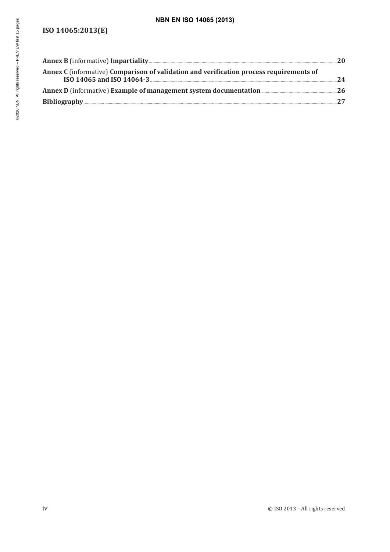#### **ISO 14065:2013(E)**

| <b>NBN EN ISO 14065 (2013)</b>                                                          |    |
|-----------------------------------------------------------------------------------------|----|
| ISO 14065:2013(E)                                                                       |    |
|                                                                                         |    |
| Annex C (informative) Comparison of validation and verification process requirements of | 24 |
|                                                                                         |    |
|                                                                                         |    |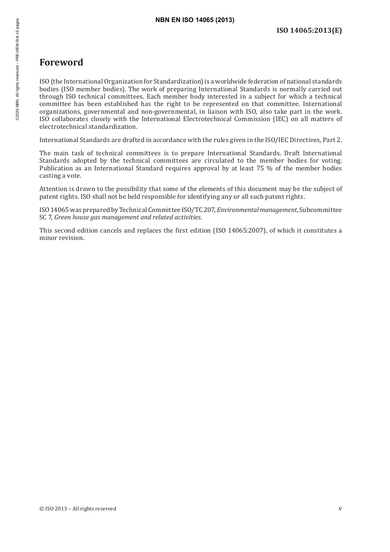#### **Foreword**

ISO (the International Organization for Standardization) is a worldwide federation of national standards bodies (ISO member bodies). The work of preparing International Standards is normally carried out through ISO technical committees. Each member body interested in a subject for which a technical committee has been established has the right to be represented on that committee. International organizations, governmental and non-governmental, in liaison with ISO, also take part in the work. ISO collaborates closely with the International Electrotechnical Commission (IEC) on all matters of electrotechnical standardization. **NBN EN ISO 14065 (2013)**<br> **NBN EN ISO 14065 (2013)**<br> **Foreword**<br>
ISO (the International Organization for Standardization) is a worldy<br>
bodies (ISO member bodies). The work of preparing Internationa<br>
through ISO technical

International Standards are drafted in accordance with the rules given in the ISO/IEC Directives, Part 2.

The main task of technical committees is to prepare International Standards. Draft International Standards adopted by the technical committees are circulated to the member bodies for voting. Publication as an International Standard requires approval by at least 75 % of the member bodies casting a vote.

Attention is drawn to the possibility that some of the elements of this document may be the subject of patent rights. ISO shall not be held responsible for identifying any or all such patent rights.

ISO14065 was prepared by Technical Committee ISO/TC 207, *Environmental management*, Subcommittee SC 7, *Green house gas management and related activities*.

This second edition cancels and replaces the first edition (ISO 14065:2007), of which it constitutes a minor revision.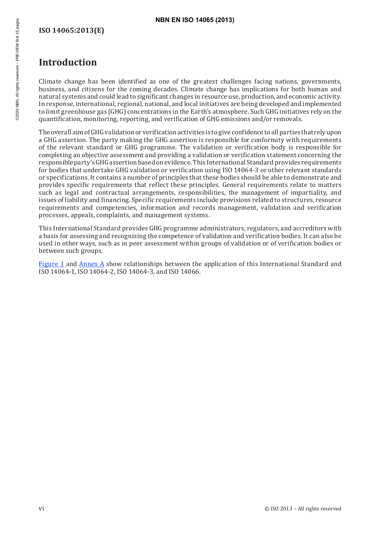#### **ISO 14065:2013(E)**

#### **Introduction**

Climate change has been identified as one of the greatest challenges facing nations, governments, business, and citizens for the coming decades. Climate change has implications for both human and natural systems and could lead to significant changes in resource use, production, and economic activity. In response, international, regional, national, and local initiatives are being developed and implemented to limit greenhouse gas (GHG) concentrations in the Earth's atmosphere. Such GHG initiatives rely on the quantification, monitoring, reporting, and verification of GHG emissions and/or removals. **NBN EN ISO 14065 (2013)**<br> **NBN EN ISO 14065 (2013)**<br> **ISO 14065:2013 (E)**<br> **Introduction**<br>
<br>
Climate change has been identified as one of the greatest chall<br>
business, and citizens for the coming decades. Climate change h

The overall aim of GHG validation or verification activities is to give confidence to all parties that rely upon a GHG assertion. The party making the GHG assertion is responsible for conformity with requirements of the relevant standard or GHG programme. The validation or verification body is responsible for completing an objective assessment and providing a validation or verification statement concerning the responsible party's GHG assertion based on evidence. This International Standard provides requirements for bodies that undertake GHG validation or verification using ISO 14064-3 or other relevant standards or specifications. It contains a number of principles that these bodies should be able to demonstrate and provides specific requirements that reflect these principles. General requirements relate to matters such as legal and contractual arrangements, responsibilities, the management of impartiality, and issues of liability and financing. Specific requirements include provisions related to structures, resource requirements and competencies, information and records management, validation and verification processes, appeals, complaints, and management systems.

This International Standard provides GHG programme administrators, regulators, and accreditors with a basis for assessing and recognizing the competence of validation and verification bodies. It can also be used in other ways, such as in peer assessment within groups of validation or of verification bodies or between such groups.

Figure 1 and Annex A show relationships between the application of this International Standard and ISO 14064-1, ISO 14064-2, ISO 14064-3, and ISO 14066.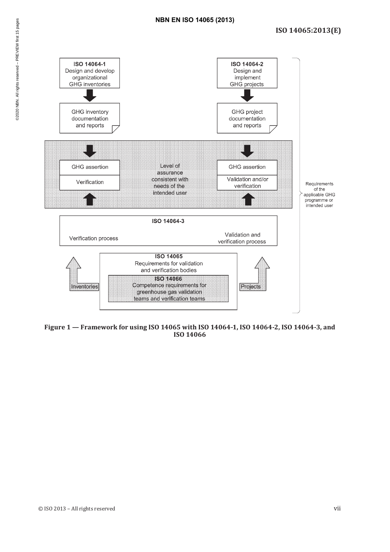

**Figure 1 — Framework for using ISO 14065 with ISO 14064-1, ISO 14064-2, ISO 14064-3, and ISO 14066**